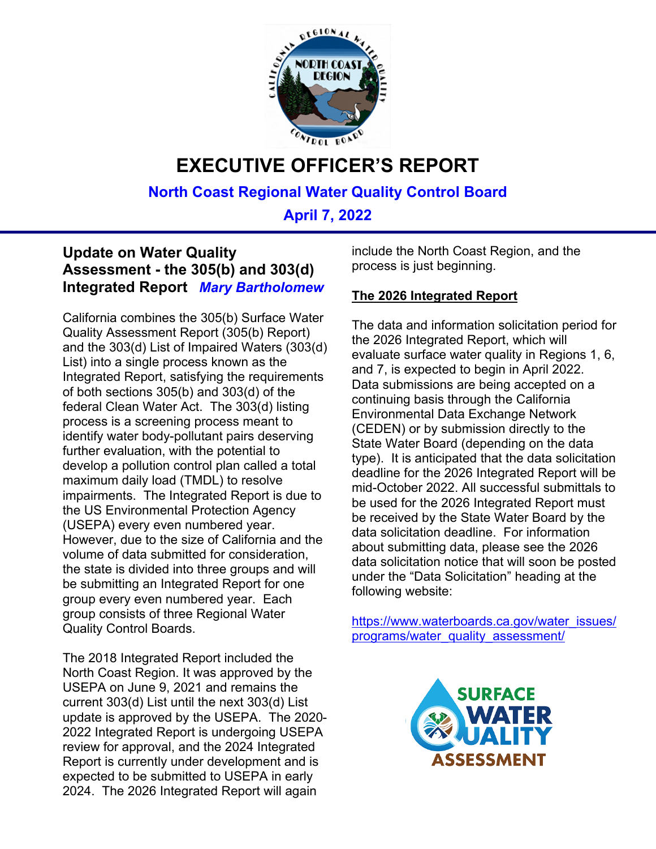

# **EXECUTIVE OFFICER'S REPORT**

**North Coast Regional Water Quality Control Board**

**April 7, 2022**

#### **Update on Water Quality Assessment - the 305(b) and 303(d) Integrated Report** *Mary Bartholomew*

California combines the 305(b) Surface Water Quality Assessment Report (305(b) Report) and the 303(d) List of Impaired Waters (303(d) List) into a single process known as the Integrated Report, satisfying the requirements of both sections 305(b) and 303(d) of the federal Clean Water Act. The 303(d) listing process is a screening process meant to identify water body-pollutant pairs deserving further evaluation, with the potential to develop a pollution control plan called a total maximum daily load (TMDL) to resolve impairments. The Integrated Report is due to the US Environmental Protection Agency (USEPA) every even numbered year. However, due to the size of California and the volume of data submitted for consideration, the state is divided into three groups and will be submitting an Integrated Report for one group every even numbered year. Each group consists of three Regional Water Quality Control Boards.

The 2018 Integrated Report included the North Coast Region. It was approved by the USEPA on June 9, 2021 and remains the current 303(d) List until the next 303(d) List update is approved by the USEPA. The 2020- 2022 Integrated Report is undergoing USEPA review for approval, and the 2024 Integrated Report is currently under development and is expected to be submitted to USEPA in early 2024. The 2026 Integrated Report will again

include the North Coast Region, and the process is just beginning.

#### **The 2026 Integrated Report**

The data and information solicitation period for the 2026 Integrated Report, which will evaluate surface water quality in Regions 1, 6, and 7, is expected to begin in April 2022. Data submissions are being accepted on a continuing basis through the California Environmental Data Exchange Network (CEDEN) or by submission directly to the State Water Board (depending on the data type). It is anticipated that the data solicitation deadline for the 2026 Integrated Report will be mid-October 2022. All successful submittals to be used for the 2026 Integrated Report must be received by the State Water Board by the data solicitation deadline. For information about submitting data, please see the 2026 data solicitation notice that will soon be posted under the "Data Solicitation" heading at the following website:

[https://www.waterboards.ca.gov/water\\_issues/](https://www.waterboards.ca.gov/water_issues/programs/water_quality_assessment/) [programs/water\\_quality\\_assessment/](https://www.waterboards.ca.gov/water_issues/programs/water_quality_assessment/)

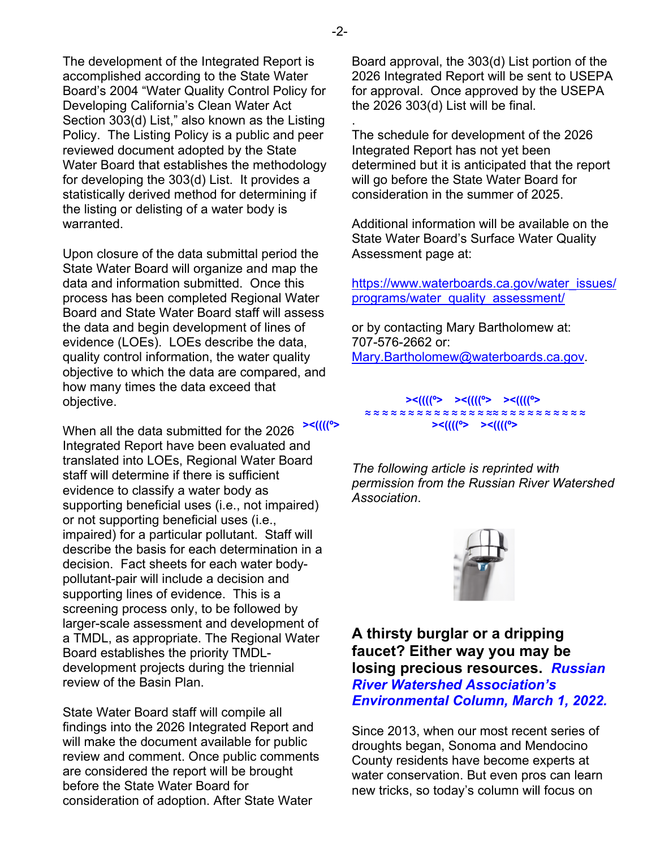The development of the Integrated Report is accomplished according to the State Water Board's 2004 "Water Quality Control Policy for Developing California's Clean Water Act Section 303(d) List," also known as the Listing Policy. The Listing Policy is a public and peer reviewed document adopted by the State Water Board that establishes the methodology for developing the 303(d) List. It provides a statistically derived method for determining if the listing or delisting of a water body is warranted.

Upon closure of the data submittal period the State Water Board will organize and map the data and information submitted. Once this process has been completed Regional Water Board and State Water Board staff will assess the data and begin development of lines of evidence (LOEs). LOEs describe the data, quality control information, the water quality objective to which the data are compared, and how many times the data exceed that objective.

When all the data submitted for the 2026 Integrated Report have been evaluated and translated into LOEs, Regional Water Board staff will determine if there is sufficient evidence to classify a water body as supporting beneficial uses (i.e., not impaired) or not supporting beneficial uses (i.e., impaired) for a particular pollutant. Staff will describe the basis for each determination in a decision. Fact sheets for each water bodypollutant-pair will include a decision and supporting lines of evidence. This is a screening process only, to be followed by larger-scale assessment and development of a TMDL, as appropriate. The Regional Water Board establishes the priority TMDLdevelopment projects during the triennial review of the Basin Plan.

State Water Board staff will compile all findings into the 2026 Integrated Report and will make the document available for public review and comment. Once public comments are considered the report will be brought before the State Water Board for consideration of adoption. After State Water

Board approval, the 303(d) List portion of the 2026 Integrated Report will be sent to USEPA for approval. Once approved by the USEPA the 2026 303(d) List will be final.

The schedule for development of the 2026 Integrated Report has not yet been determined but it is anticipated that the report will go before the State Water Board for consideration in the summer of 2025.

Additional information will be available on the State Water Board's Surface Water Quality Assessment page at:

[https://www.waterboards.ca.gov/water\\_issues/](https://www.waterboards.ca.gov/water_issues/programs/water_quality_assessment/) [programs/water\\_quality\\_assessment/](https://www.waterboards.ca.gov/water_issues/programs/water_quality_assessment/)

or by contacting Mary Bartholomew at: 707-576-2662 or: [Mary.Bartholomew@waterboards.ca.gov](mailto:Mary.Bartholomew@waterboards.ca.gov).

 **><((((º> ><((((º> ><((((º> ≈ ≈ ≈ ≈ ≈ ≈ ≈ ≈ ≈ ≈ ≈ ≈ ≈ ≈ ≈≈ ≈ ≈ ≈ ≈ ≈ ≈ ≈ ≈ ≈ ≈ ><((((º> ><((((º> ><((((º>** 

> *The following article is reprinted with permission from the Russian River Watershed Association*.



**A thirsty burglar or a dripping faucet? Either way you may be losing precious resources.** *Russian River Watershed Association's Environmental Column, March 1, 2022.*

Since 2013, when our most recent series of droughts began, Sonoma and Mendocino County residents have become experts at water conservation. But even pros can learn new tricks, so today's column will focus on

.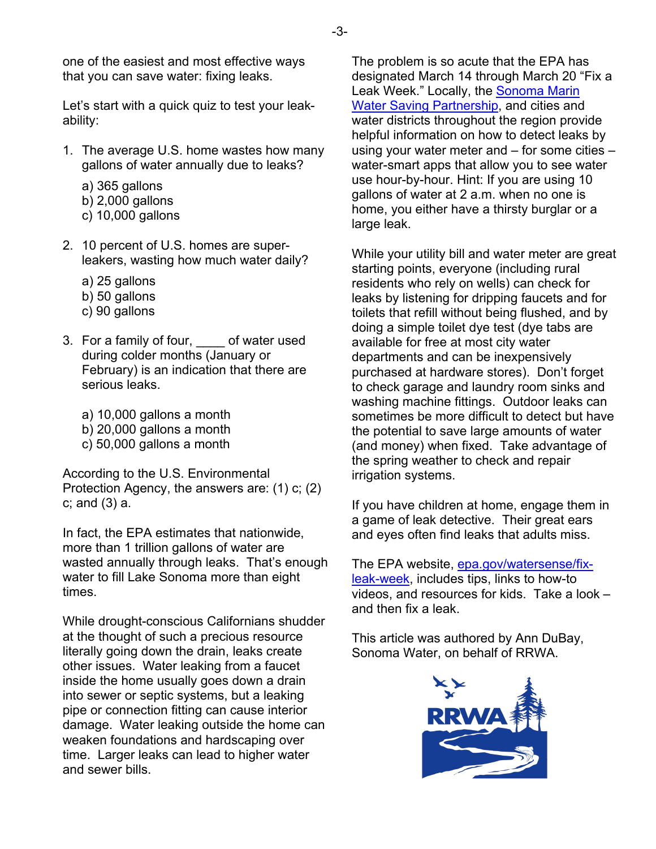one of the easiest and most effective ways that you can save water: fixing leaks.

Let's start with a quick quiz to test your leakability:

- 1. The average U.S. home wastes how many gallons of water annually due to leaks?
	- a) 365 gallons
	- b) 2,000 gallons
	- c) 10,000 gallons
- 2. 10 percent of U.S. homes are superleakers, wasting how much water daily?
	- a) 25 gallons
	- b) 50 gallons
	- c) 90 gallons
- 3. For a family of four, \_\_\_\_ of water used during colder months (January or February) is an indication that there are serious leaks.
	- a) 10,000 gallons a month
	- b) 20,000 gallons a month
	- c) 50,000 gallons a month

According to the U.S. Environmental Protection Agency, the answers are: (1) c; (2) c; and (3) a.

In fact, the EPA estimates that nationwide, more than 1 trillion gallons of water are wasted annually through leaks. That's enough water to fill Lake Sonoma more than eight times.

While drought-conscious Californians shudder at the thought of such a precious resource literally going down the drain, leaks create other issues. Water leaking from a faucet inside the home usually goes down a drain into sewer or septic systems, but a leaking pipe or connection fitting can cause interior damage. Water leaking outside the home can weaken foundations and hardscaping over time. Larger leaks can lead to higher water and sewer bills.

The problem is so acute that the EPA has designated March 14 through March 20 "Fix a Leak Week." Locally, the Sonoma Marin [Water Saving Partnership](https://www.savingwaterpartnership.org/programs-rebates/water-saving-tips/), and cities and water districts throughout the region provide helpful information on how to detect leaks by using your water meter and – for some cities – water-smart apps that allow you to see water use hour-by-hour. Hint: If you are using 10 gallons of water at 2 a.m. when no one is home, you either have a thirsty burglar or a large leak.

While your utility bill and water meter are great starting points, everyone (including rural residents who rely on wells) can check for leaks by listening for dripping faucets and for toilets that refill without being flushed, and by doing a simple toilet dye test (dye tabs are available for free at most city water departments and can be inexpensively purchased at hardware stores). Don't forget to check garage and laundry room sinks and washing machine fittings. Outdoor leaks can sometimes be more difficult to detect but have the potential to save large amounts of water (and money) when fixed. Take advantage of the spring weather to check and repair irrigation systems.

If you have children at home, engage them in a game of leak detective. Their great ears and eyes often find leaks that adults miss.

The EPA website, [epa.gov/watersense/fix](https://www.epa.gov/watersense/fix-leak-week)[leak-week](https://www.epa.gov/watersense/fix-leak-week), includes tips, links to how-to videos, and resources for kids. Take a look – and then fix a leak.

This article was authored by Ann DuBay, Sonoma Water, on behalf of RRWA.

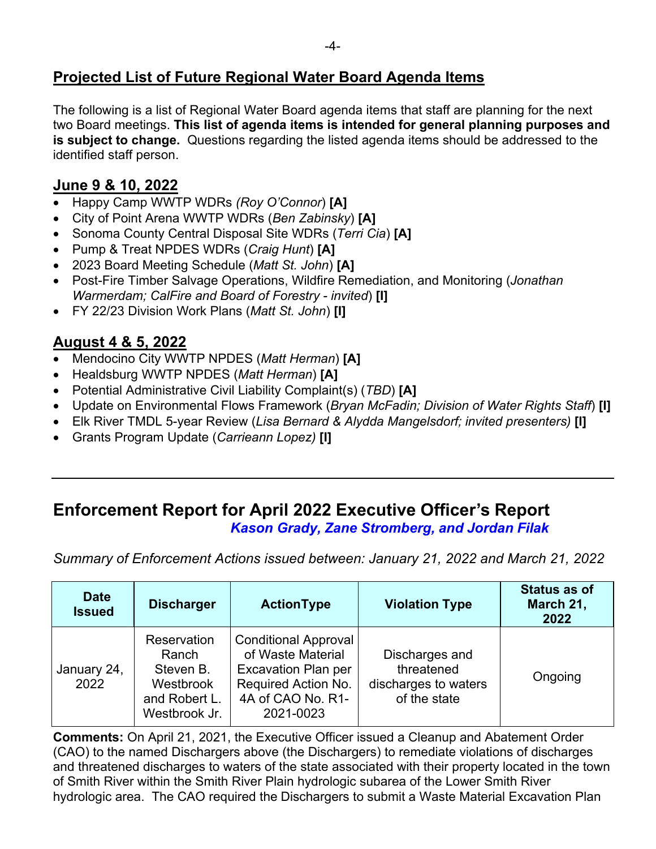# **Projected List of Future Regional Water Board Agenda Items**

The following is a list of Regional Water Board agenda items that staff are planning for the next two Board meetings. **This list of agenda items is intended for general planning purposes and is subject to change.** Questions regarding the listed agenda items should be addressed to the identified staff person.

#### **June 9 & 10, 2022**

- · Happy Camp WWTP WDRs *(Roy O'Connor*) **[A]**
- · City of Point Arena WWTP WDRs (*Ben Zabinsky*) **[A]**
- · Sonoma County Central Disposal Site WDRs (*Terri Cia*) **[A]**
- · Pump & Treat NPDES WDRs (*Craig Hunt*) **[A]**
- · 2023 Board Meeting Schedule (*Matt St. John*) **[A]**
- · Post-Fire Timber Salvage Operations, Wildfire Remediation, and Monitoring (*Jonathan Warmerdam; CalFire and Board of Forestry - invited*) **[I]**
- · FY 22/23 Division Work Plans (*Matt St. John*) **[I]**

#### **August 4 & 5, 2022**

- · Mendocino City WWTP NPDES (*Matt Herman*) **[A]**
- · Healdsburg WWTP NPDES (*Matt Herman*) **[A]**
- · Potential Administrative Civil Liability Complaint(s) (*TBD*) **[A]**
- · Update on Environmental Flows Framework (*Bryan McFadin; Division of Water Rights Staff*) **[I]**
- · Elk River TMDL 5-year Review (*Lisa Bernard & Alydda Mangelsdorf; invited presenters)* **[I]**
- · Grants Program Update (*Carrieann Lopez)* **[I]**

## **Enforcement Report for April 2022 Executive Officer's Report** *Kason Grady, Zane Stromberg, and Jordan Filak*

*Summary of Enforcement Actions issued between: January 21, 2022 and March 21, 2022*

| <b>Date</b><br><b>Issued</b> | <b>Discharger</b>                                                                       | <b>ActionType</b>                                                                                                                       | <b>Violation Type</b>                                                | <b>Status as of</b><br>March 21,<br>2022 |
|------------------------------|-----------------------------------------------------------------------------------------|-----------------------------------------------------------------------------------------------------------------------------------------|----------------------------------------------------------------------|------------------------------------------|
| January 24,<br>2022          | <b>Reservation</b><br>Ranch<br>Steven B.<br>Westbrook<br>and Robert L.<br>Westbrook Jr. | <b>Conditional Approval</b><br>of Waste Material<br><b>Excavation Plan per</b><br>Required Action No.<br>4A of CAO No. R1-<br>2021-0023 | Discharges and<br>threatened<br>discharges to waters<br>of the state | Ongoing                                  |

**Comments:** On April 21, 2021, the Executive Officer issued a Cleanup and Abatement Order (CAO) to the named Dischargers above (the Dischargers) to remediate violations of discharges and threatened discharges to waters of the state associated with their property located in the town of Smith River within the Smith River Plain hydrologic subarea of the Lower Smith River hydrologic area. The CAO required the Dischargers to submit a Waste Material Excavation Plan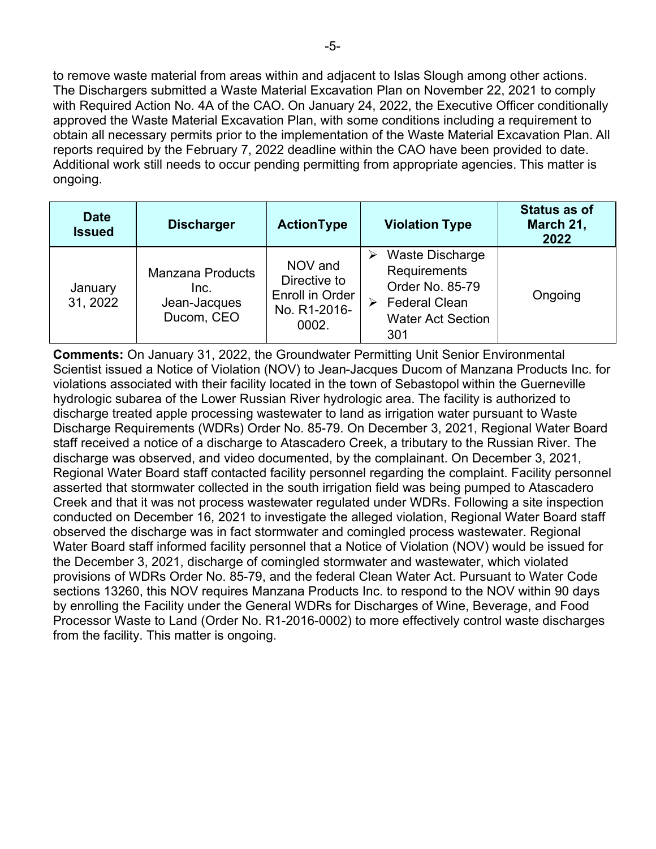to remove waste material from areas within and adjacent to Islas Slough among other actions. The Dischargers submitted a Waste Material Excavation Plan on November 22, 2021 to comply with Required Action No. 4A of the CAO. On January 24, 2022, the Executive Officer conditionally approved the Waste Material Excavation Plan, with some conditions including a requirement to obtain all necessary permits prior to the implementation of the Waste Material Excavation Plan. All reports required by the February 7, 2022 deadline within the CAO have been provided to date. Additional work still needs to occur pending permitting from appropriate agencies. This matter is ongoing.

| <b>Date</b><br><b>Issued</b> | <b>Discharger</b>                                             | <b>ActionType</b>                                                   | <b>Violation Type</b>                                                                                              | <b>Status as of</b><br>March 21,<br>2022 |
|------------------------------|---------------------------------------------------------------|---------------------------------------------------------------------|--------------------------------------------------------------------------------------------------------------------|------------------------------------------|
| January<br>31, 2022          | <b>Manzana Products</b><br>Inc.<br>Jean-Jacques<br>Ducom, CEO | NOV and<br>Directive to<br>Enroll in Order<br>No. R1-2016-<br>0002. | Waste Discharge<br>Requirements<br>Order No. 85-79<br><b>Federal Clean</b><br>➤<br><b>Water Act Section</b><br>301 | Ongoing                                  |

**Comments:** On January 31, 2022, the Groundwater Permitting Unit Senior Environmental Scientist issued a Notice of Violation (NOV) to Jean-Jacques Ducom of Manzana Products Inc. for violations associated with their facility located in the town of Sebastopol within the Guerneville hydrologic subarea of the Lower Russian River hydrologic area. The facility is authorized to discharge treated apple processing wastewater to land as irrigation water pursuant to Waste Discharge Requirements (WDRs) Order No. 85-79. On December 3, 2021, Regional Water Board staff received a notice of a discharge to Atascadero Creek, a tributary to the Russian River. The discharge was observed, and video documented, by the complainant. On December 3, 2021, Regional Water Board staff contacted facility personnel regarding the complaint. Facility personnel asserted that stormwater collected in the south irrigation field was being pumped to Atascadero Creek and that it was not process wastewater regulated under WDRs. Following a site inspection conducted on December 16, 2021 to investigate the alleged violation, Regional Water Board staff observed the discharge was in fact stormwater and comingled process wastewater. Regional Water Board staff informed facility personnel that a Notice of Violation (NOV) would be issued for the December 3, 2021, discharge of comingled stormwater and wastewater, which violated provisions of WDRs Order No. 85-79, and the federal Clean Water Act. Pursuant to Water Code sections 13260, this NOV requires Manzana Products Inc. to respond to the NOV within 90 days by enrolling the Facility under the General WDRs for Discharges of Wine, Beverage, and Food Processor Waste to Land (Order No. R1-2016-0002) to more effectively control waste discharges from the facility. This matter is ongoing.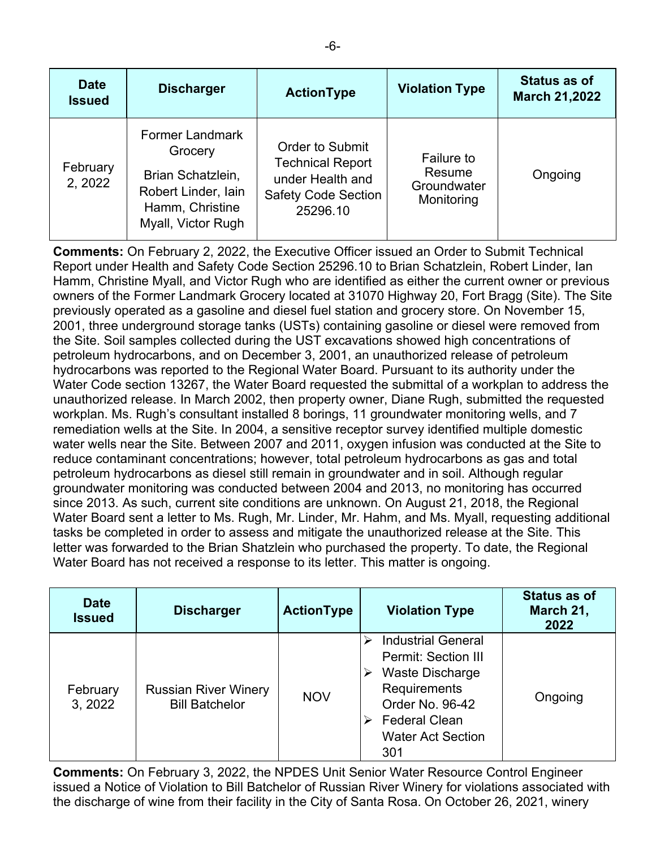| <b>Date</b><br><b>Issued</b> | <b>Discharger</b>                                                                                                      | <b>ActionType</b>                                                                                               | <b>Violation Type</b>                                    | <b>Status as of</b><br><b>March 21,2022</b> |
|------------------------------|------------------------------------------------------------------------------------------------------------------------|-----------------------------------------------------------------------------------------------------------------|----------------------------------------------------------|---------------------------------------------|
| February<br>2, 2022          | <b>Former Landmark</b><br>Grocery<br>Brian Schatzlein,<br>Robert Linder, lain<br>Hamm, Christine<br>Myall, Victor Rugh | <b>Order to Submit</b><br><b>Technical Report</b><br>under Health and<br><b>Safety Code Section</b><br>25296.10 | <b>Failure to</b><br>Resume<br>Groundwater<br>Monitoring | Ongoing                                     |

**Comments:** On February 2, 2022, the Executive Officer issued an Order to Submit Technical Report under Health and Safety Code Section 25296.10 to Brian Schatzlein, Robert Linder, Ian Hamm, Christine Myall, and Victor Rugh who are identified as either the current owner or previous owners of the Former Landmark Grocery located at 31070 Highway 20, Fort Bragg (Site). The Site previously operated as a gasoline and diesel fuel station and grocery store. On November 15, 2001, three underground storage tanks (USTs) containing gasoline or diesel were removed from the Site. Soil samples collected during the UST excavations showed high concentrations of petroleum hydrocarbons, and on December 3, 2001, an unauthorized release of petroleum hydrocarbons was reported to the Regional Water Board. Pursuant to its authority under the Water Code section 13267, the Water Board requested the submittal of a workplan to address the unauthorized release. In March 2002, then property owner, Diane Rugh, submitted the requested workplan. Ms. Rugh's consultant installed 8 borings, 11 groundwater monitoring wells, and 7 remediation wells at the Site. In 2004, a sensitive receptor survey identified multiple domestic water wells near the Site. Between 2007 and 2011, oxygen infusion was conducted at the Site to reduce contaminant concentrations; however, total petroleum hydrocarbons as gas and total petroleum hydrocarbons as diesel still remain in groundwater and in soil. Although regular groundwater monitoring was conducted between 2004 and 2013, no monitoring has occurred since 2013. As such, current site conditions are unknown. On August 21, 2018, the Regional Water Board sent a letter to Ms. Rugh, Mr. Linder, Mr. Hahm, and Ms. Myall, requesting additional tasks be completed in order to assess and mitigate the unauthorized release at the Site. This letter was forwarded to the Brian Shatzlein who purchased the property. To date, the Regional Water Board has not received a response to its letter. This matter is ongoing.

| <b>Date</b><br><b>Issued</b> | <b>Discharger</b>                                    | ActionType | <b>Violation Type</b>                                                                                                                                                    | Status as of<br>March 21,<br>2022 |
|------------------------------|------------------------------------------------------|------------|--------------------------------------------------------------------------------------------------------------------------------------------------------------------------|-----------------------------------|
| February<br>3, 2022          | <b>Russian River Winery</b><br><b>Bill Batchelor</b> | <b>NOV</b> | <b>Industrial General</b><br><b>Permit: Section III</b><br>Waste Discharge<br>Requirements<br>Order No. 96-42<br><b>Federal Clean</b><br><b>Water Act Section</b><br>301 | Ongoing                           |

**Comments:** On February 3, 2022, the NPDES Unit Senior Water Resource Control Engineer issued a Notice of Violation to Bill Batchelor of Russian River Winery for violations associated with the discharge of wine from their facility in the City of Santa Rosa. On October 26, 2021, winery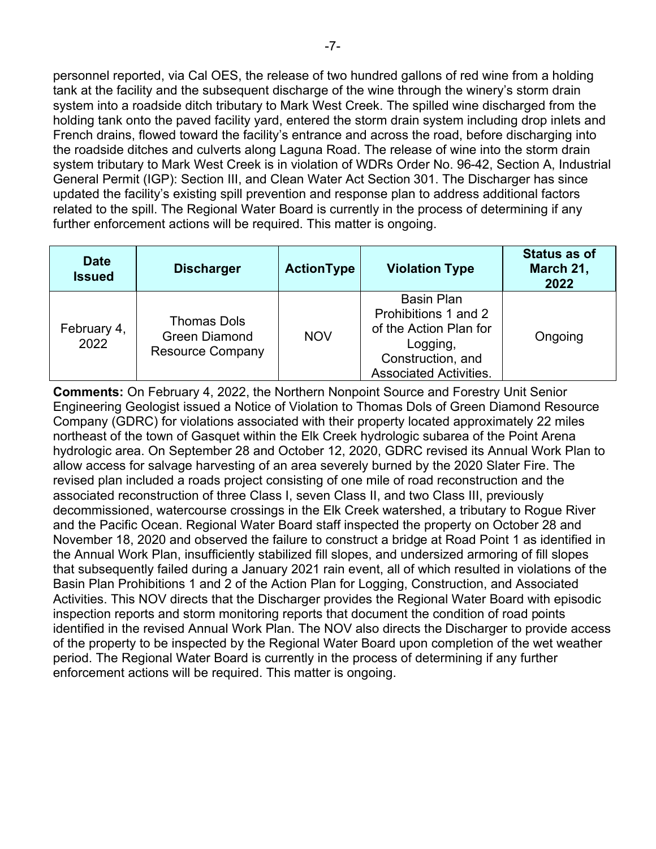personnel reported, via Cal OES, the release of two hundred gallons of red wine from a holding tank at the facility and the subsequent discharge of the wine through the winery's storm drain system into a roadside ditch tributary to Mark West Creek. The spilled wine discharged from the holding tank onto the paved facility yard, entered the storm drain system including drop inlets and French drains, flowed toward the facility's entrance and across the road, before discharging into the roadside ditches and culverts along Laguna Road. The release of wine into the storm drain system tributary to Mark West Creek is in violation of WDRs Order No. 96-42, Section A, Industrial General Permit (IGP): Section III, and Clean Water Act Section 301. The Discharger has since updated the facility's existing spill prevention and response plan to address additional factors related to the spill. The Regional Water Board is currently in the process of determining if any further enforcement actions will be required. This matter is ongoing.

| <b>Date</b><br><b>Issued</b> | <b>Discharger</b>                                                     | <b>ActionType</b> | <b>Violation Type</b>                                                                                                                 | <b>Status as of</b><br>March 21,<br>2022 |
|------------------------------|-----------------------------------------------------------------------|-------------------|---------------------------------------------------------------------------------------------------------------------------------------|------------------------------------------|
| February 4,<br>2022          | <b>Thomas Dols</b><br><b>Green Diamond</b><br><b>Resource Company</b> | <b>NOV</b>        | <b>Basin Plan</b><br>Prohibitions 1 and 2<br>of the Action Plan for<br>Logging,<br>Construction, and<br><b>Associated Activities.</b> | Ongoing                                  |

**Comments:** On February 4, 2022, the Northern Nonpoint Source and Forestry Unit Senior Engineering Geologist issued a Notice of Violation to Thomas Dols of Green Diamond Resource Company (GDRC) for violations associated with their property located approximately 22 miles northeast of the town of Gasquet within the Elk Creek hydrologic subarea of the Point Arena hydrologic area. On September 28 and October 12, 2020, GDRC revised its Annual Work Plan to allow access for salvage harvesting of an area severely burned by the 2020 Slater Fire. The revised plan included a roads project consisting of one mile of road reconstruction and the associated reconstruction of three Class I, seven Class II, and two Class III, previously decommissioned, watercourse crossings in the Elk Creek watershed, a tributary to Rogue River and the Pacific Ocean. Regional Water Board staff inspected the property on October 28 and November 18, 2020 and observed the failure to construct a bridge at Road Point 1 as identified in the Annual Work Plan, insufficiently stabilized fill slopes, and undersized armoring of fill slopes that subsequently failed during a January 2021 rain event, all of which resulted in violations of the Basin Plan Prohibitions 1 and 2 of the Action Plan for Logging, Construction, and Associated Activities. This NOV directs that the Discharger provides the Regional Water Board with episodic inspection reports and storm monitoring reports that document the condition of road points identified in the revised Annual Work Plan. The NOV also directs the Discharger to provide access of the property to be inspected by the Regional Water Board upon completion of the wet weather period. The Regional Water Board is currently in the process of determining if any further enforcement actions will be required. This matter is ongoing.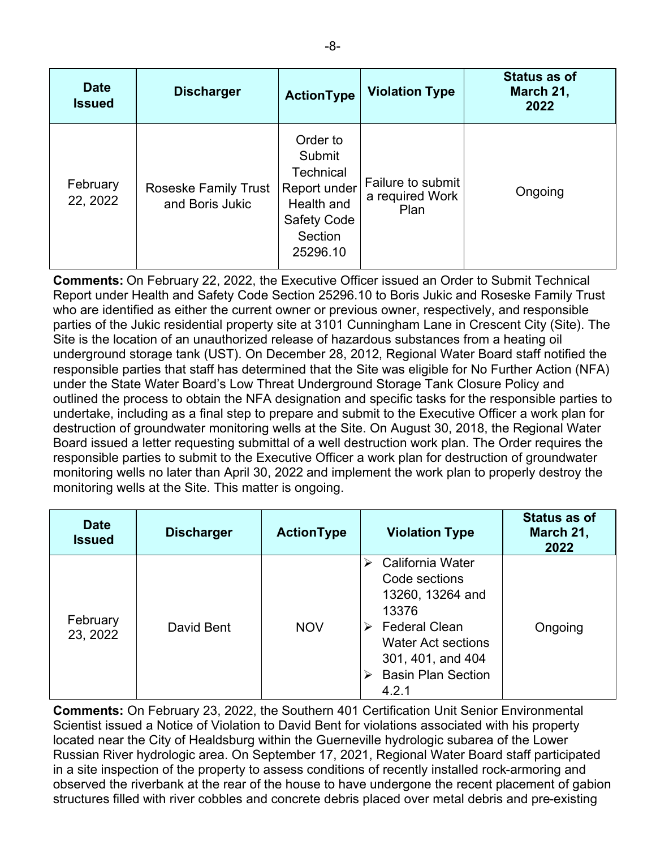| <b>Date</b><br><b>Issued</b> | <b>Discharger</b>                              | <b>ActionType</b>                                                                                                 | <b>Violation Type</b>                        | <b>Status as of</b><br>March 21,<br>2022 |
|------------------------------|------------------------------------------------|-------------------------------------------------------------------------------------------------------------------|----------------------------------------------|------------------------------------------|
| February<br>22, 2022         | <b>Roseske Family Trust</b><br>and Boris Jukic | Order to<br>Submit<br><b>Technical</b><br>Report under<br>Health and<br><b>Safety Code</b><br>Section<br>25296.10 | Failure to submit<br>a required Work<br>Plan | Ongoing                                  |

**Comments:** On February 22, 2022, the Executive Officer issued an Order to Submit Technical Report under Health and Safety Code Section 25296.10 to Boris Jukic and Roseske Family Trust who are identified as either the current owner or previous owner, respectively, and responsible parties of the Jukic residential property site at 3101 Cunningham Lane in Crescent City (Site). The Site is the location of an unauthorized release of hazardous substances from a heating oil underground storage tank (UST). On December 28, 2012, Regional Water Board staff notified the responsible parties that staff has determined that the Site was eligible for No Further Action (NFA) under the State Water Board's Low Threat Underground Storage Tank Closure Policy and outlined the process to obtain the NFA designation and specific tasks for the responsible parties to undertake, including as a final step to prepare and submit to the Executive Officer a work plan for destruction of groundwater monitoring wells at the Site. On August 30, 2018, the Regional Water Board issued a letter requesting submittal of a well destruction work plan. The Order requires the responsible parties to submit to the Executive Officer a work plan for destruction of groundwater monitoring wells no later than April 30, 2022 and implement the work plan to properly destroy the monitoring wells at the Site. This matter is ongoing.

| <b>Date</b><br><b>Issued</b> | <b>Discharger</b> | <b>ActionType</b> | <b>Violation Type</b>                                                                                                                                                               | <b>Status as of</b><br>March 21,<br>2022 |
|------------------------------|-------------------|-------------------|-------------------------------------------------------------------------------------------------------------------------------------------------------------------------------------|------------------------------------------|
| February<br>23, 2022         | David Bent        | <b>NOV</b>        | California Water<br>Code sections<br>13260, 13264 and<br>13376<br><b>Federal Clean</b><br>➤<br><b>Water Act sections</b><br>301, 401, and 404<br><b>Basin Plan Section</b><br>4.2.1 | Ongoing                                  |

**Comments:** On February 23, 2022, the Southern 401 Certification Unit Senior Environmental Scientist issued a Notice of Violation to David Bent for violations associated with his property located near the City of Healdsburg within the Guerneville hydrologic subarea of the Lower Russian River hydrologic area. On September 17, 2021, Regional Water Board staff participated in a site inspection of the property to assess conditions of recently installed rock-armoring and observed the riverbank at the rear of the house to have undergone the recent placement of gabion structures filled with river cobbles and concrete debris placed over metal debris and pre-existing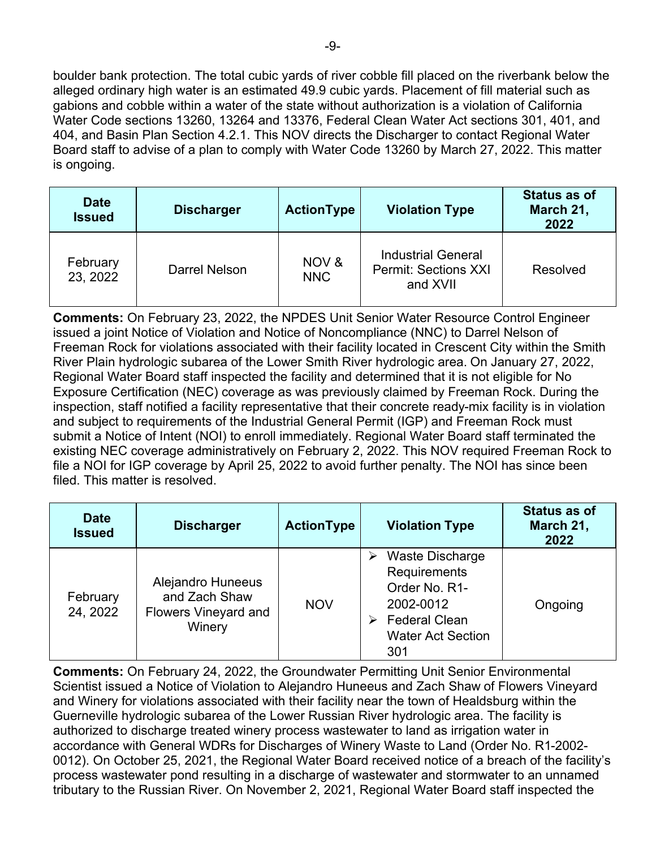boulder bank protection. The total cubic yards of river cobble fill placed on the riverbank below the alleged ordinary high water is an estimated 49.9 cubic yards. Placement of fill material such as gabions and cobble within a water of the state without authorization is a violation of California Water Code sections 13260, 13264 and 13376, Federal Clean Water Act sections 301, 401, and 404, and Basin Plan Section 4.2.1. This NOV directs the Discharger to contact Regional Water Board staff to advise of a plan to comply with Water Code 13260 by March 27, 2022. This matter is ongoing.

| <b>Date</b><br><b>Issued</b> | <b>Discharger</b> | <b>ActionType</b>   | <b>Violation Type</b>                                                | <b>Status as of</b><br>March 21,<br>2022 |
|------------------------------|-------------------|---------------------|----------------------------------------------------------------------|------------------------------------------|
| February<br>23, 2022         | Darrel Nelson     | NOV &<br><b>NNC</b> | <b>Industrial General</b><br><b>Permit: Sections XXI</b><br>and XVII | <b>Resolved</b>                          |

**Comments:** On February 23, 2022, the NPDES Unit Senior Water Resource Control Engineer issued a joint Notice of Violation and Notice of Noncompliance (NNC) to Darrel Nelson of Freeman Rock for violations associated with their facility located in Crescent City within the Smith River Plain hydrologic subarea of the Lower Smith River hydrologic area. On January 27, 2022, Regional Water Board staff inspected the facility and determined that it is not eligible for No Exposure Certification (NEC) coverage as was previously claimed by Freeman Rock. During the inspection, staff notified a facility representative that their concrete ready-mix facility is in violation and subject to requirements of the Industrial General Permit (IGP) and Freeman Rock must submit a Notice of Intent (NOI) to enroll immediately. Regional Water Board staff terminated the existing NEC coverage administratively on February 2, 2022. This NOV required Freeman Rock to file a NOI for IGP coverage by April 25, 2022 to avoid further penalty. The NOI has since been filed. This matter is resolved.

| <b>Date</b><br><b>Issued</b> | <b>Discharger</b>                                                           | <b>ActionType</b> | <b>Violation Type</b>                                                                                                                | <b>Status as of</b><br>March 21,<br>2022 |
|------------------------------|-----------------------------------------------------------------------------|-------------------|--------------------------------------------------------------------------------------------------------------------------------------|------------------------------------------|
| February<br>24, 2022         | Alejandro Huneeus<br>and Zach Shaw<br><b>Flowers Vineyard and</b><br>Winery | <b>NOV</b>        | <b>Waste Discharge</b><br>⋗<br>Requirements<br>Order No. R1-<br>2002-0012<br><b>Federal Clean</b><br><b>Water Act Section</b><br>301 | Ongoing                                  |

**Comments:** On February 24, 2022, the Groundwater Permitting Unit Senior Environmental Scientist issued a Notice of Violation to Alejandro Huneeus and Zach Shaw of Flowers Vineyard and Winery for violations associated with their facility near the town of Healdsburg within the Guerneville hydrologic subarea of the Lower Russian River hydrologic area. The facility is authorized to discharge treated winery process wastewater to land as irrigation water in accordance with General WDRs for Discharges of Winery Waste to Land (Order No. R1-2002- 0012). On October 25, 2021, the Regional Water Board received notice of a breach of the facility's process wastewater pond resulting in a discharge of wastewater and stormwater to an unnamed tributary to the Russian River. On November 2, 2021, Regional Water Board staff inspected the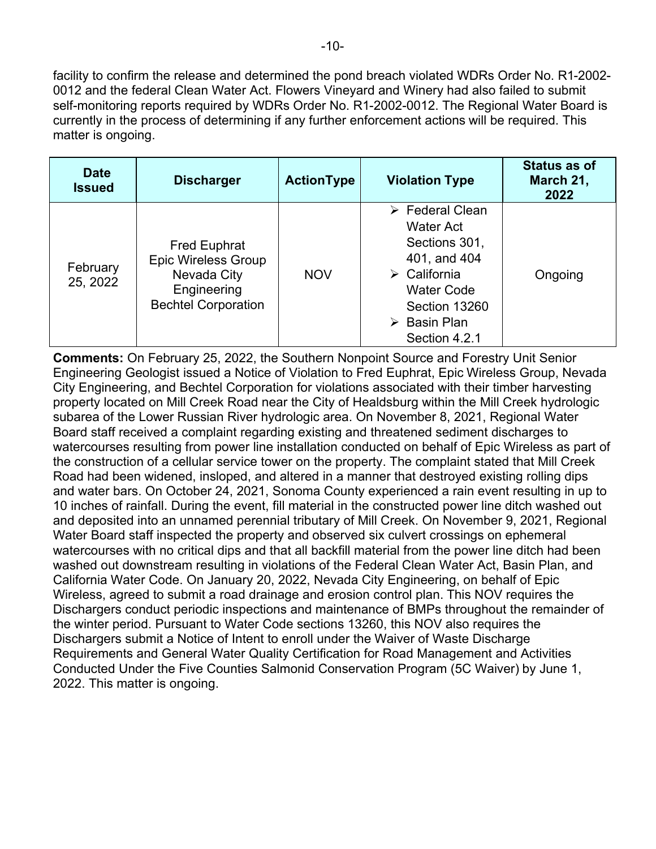facility to confirm the release and determined the pond breach violated WDRs Order No. R1-2002- 0012 and the federal Clean Water Act. Flowers Vineyard and Winery had also failed to submit self-monitoring reports required by WDRs Order No. R1-2002-0012. The Regional Water Board is currently in the process of determining if any further enforcement actions will be required. This matter is ongoing.

| <b>Date</b><br><b>Issued</b> | <b>Discharger</b>                                                                                             | <b>ActionType</b> | <b>Violation Type</b>                                                                                                                                                                             | Status as of<br>March 21,<br>2022 |
|------------------------------|---------------------------------------------------------------------------------------------------------------|-------------------|---------------------------------------------------------------------------------------------------------------------------------------------------------------------------------------------------|-----------------------------------|
| February<br>25, 2022         | <b>Fred Euphrat</b><br><b>Epic Wireless Group</b><br>Nevada City<br>Engineering<br><b>Bechtel Corporation</b> | <b>NOV</b>        | $\triangleright$ Federal Clean<br>Water Act<br>Sections 301,<br>401, and 404<br>$\triangleright$ California<br><b>Water Code</b><br>Section 13260<br>$\triangleright$ Basin Plan<br>Section 4.2.1 | Ongoing                           |

**Comments:** On February 25, 2022, the Southern Nonpoint Source and Forestry Unit Senior Engineering Geologist issued a Notice of Violation to Fred Euphrat, Epic Wireless Group, Nevada City Engineering, and Bechtel Corporation for violations associated with their timber harvesting property located on Mill Creek Road near the City of Healdsburg within the Mill Creek hydrologic subarea of the Lower Russian River hydrologic area. On November 8, 2021, Regional Water Board staff received a complaint regarding existing and threatened sediment discharges to watercourses resulting from power line installation conducted on behalf of Epic Wireless as part of the construction of a cellular service tower on the property. The complaint stated that Mill Creek Road had been widened, insloped, and altered in a manner that destroyed existing rolling dips and water bars. On October 24, 2021, Sonoma County experienced a rain event resulting in up to 10 inches of rainfall. During the event, fill material in the constructed power line ditch washed out and deposited into an unnamed perennial tributary of Mill Creek. On November 9, 2021, Regional Water Board staff inspected the property and observed six culvert crossings on ephemeral watercourses with no critical dips and that all backfill material from the power line ditch had been washed out downstream resulting in violations of the Federal Clean Water Act, Basin Plan, and California Water Code. On January 20, 2022, Nevada City Engineering, on behalf of Epic Wireless, agreed to submit a road drainage and erosion control plan. This NOV requires the Dischargers conduct periodic inspections and maintenance of BMPs throughout the remainder of the winter period. Pursuant to Water Code sections 13260, this NOV also requires the Dischargers submit a Notice of Intent to enroll under the Waiver of Waste Discharge Requirements and General Water Quality Certification for Road Management and Activities Conducted Under the Five Counties Salmonid Conservation Program (5C Waiver) by June 1, 2022. This matter is ongoing.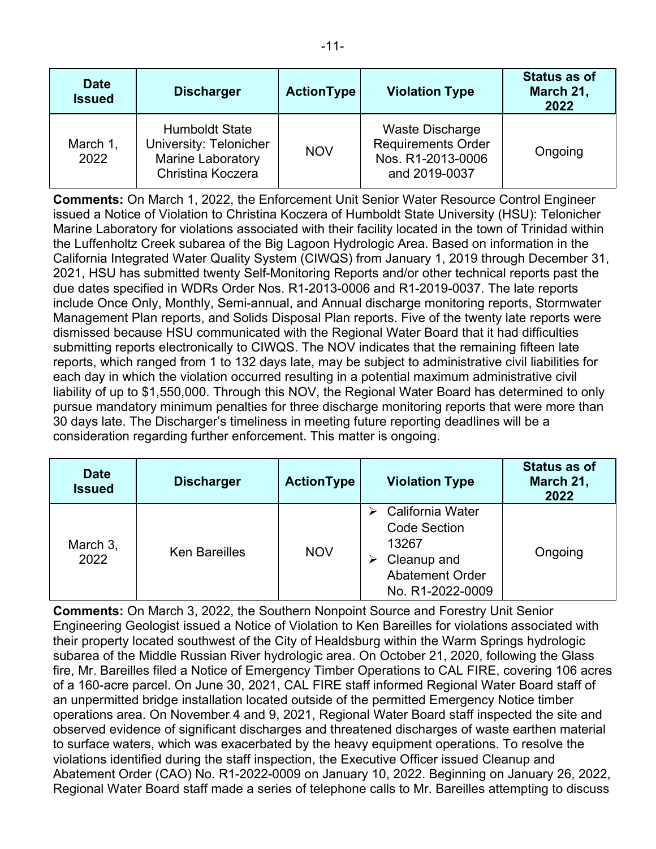| <b>Date</b><br><b>Issued</b> | <b>Discharger</b>                                                                                | <b>ActionType</b> | <b>Violation Type</b>                                                              | <b>Status as of</b><br>March 21,<br>2022 |
|------------------------------|--------------------------------------------------------------------------------------------------|-------------------|------------------------------------------------------------------------------------|------------------------------------------|
| March 1,<br>2022             | <b>Humboldt State</b><br>University: Telonicher<br><b>Marine Laboratory</b><br>Christina Koczera | <b>NOV</b>        | Waste Discharge<br><b>Requirements Order</b><br>Nos. R1-2013-0006<br>and 2019-0037 | Ongoing                                  |

**Comments:** On March 1, 2022, the Enforcement Unit Senior Water Resource Control Engineer issued a Notice of Violation to Christina Koczera of Humboldt State University (HSU): Telonicher Marine Laboratory for violations associated with their facility located in the town of Trinidad within the Luffenholtz Creek subarea of the Big Lagoon Hydrologic Area. Based on information in the California Integrated Water Quality System (CIWQS) from January 1, 2019 through December 31, 2021, HSU has submitted twenty Self-Monitoring Reports and/or other technical reports past the due dates specified in WDRs Order Nos. R1-2013-0006 and R1-2019-0037. The late reports include Once Only, Monthly, Semi-annual, and Annual discharge monitoring reports, Stormwater Management Plan reports, and Solids Disposal Plan reports. Five of the twenty late reports were dismissed because HSU communicated with the Regional Water Board that it had difficulties submitting reports electronically to CIWQS. The NOV indicates that the remaining fifteen late reports, which ranged from 1 to 132 days late, may be subject to administrative civil liabilities for each day in which the violation occurred resulting in a potential maximum administrative civil liability of up to \$1,550,000. Through this NOV, the Regional Water Board has determined to only pursue mandatory minimum penalties for three discharge monitoring reports that were more than 30 days late. The Discharger's timeliness in meeting future reporting deadlines will be a consideration regarding further enforcement. This matter is ongoing.

| <b>Date</b><br><b>Issued</b> | <b>Discharger</b>    | <b>ActionType</b> | <b>Violation Type</b>                                                                                              | <b>Status as of</b><br>March 21,<br>2022 |
|------------------------------|----------------------|-------------------|--------------------------------------------------------------------------------------------------------------------|------------------------------------------|
| March 3,<br>2022             | <b>Ken Bareilles</b> | <b>NOV</b>        | California Water<br><b>Code Section</b><br>13267<br>Cleanup and<br>⋗<br><b>Abatement Order</b><br>No. R1-2022-0009 | Ongoing                                  |

**Comments:** On March 3, 2022, the Southern Nonpoint Source and Forestry Unit Senior Engineering Geologist issued a Notice of Violation to Ken Bareilles for violations associated with their property located southwest of the City of Healdsburg within the Warm Springs hydrologic subarea of the Middle Russian River hydrologic area. On October 21, 2020, following the Glass fire, Mr. Bareilles filed a Notice of Emergency Timber Operations to CAL FIRE, covering 106 acres of a 160-acre parcel. On June 30, 2021, CAL FIRE staff informed Regional Water Board staff of an unpermitted bridge installation located outside of the permitted Emergency Notice timber operations area. On November 4 and 9, 2021, Regional Water Board staff inspected the site and observed evidence of significant discharges and threatened discharges of waste earthen material to surface waters, which was exacerbated by the heavy equipment operations. To resolve the violations identified during the staff inspection, the Executive Officer issued Cleanup and Abatement Order (CAO) No. R1-2022-0009 on January 10, 2022. Beginning on January 26, 2022, Regional Water Board staff made a series of telephone calls to Mr. Bareilles attempting to discuss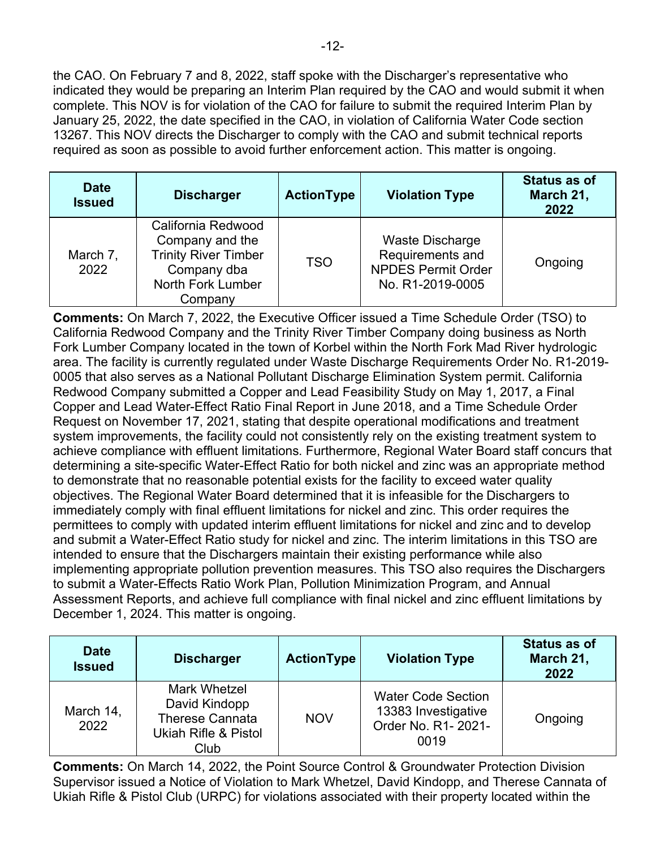the CAO. On February 7 and 8, 2022, staff spoke with the Discharger's representative who indicated they would be preparing an Interim Plan required by the CAO and would submit it when complete. This NOV is for violation of the CAO for failure to submit the required Interim Plan by January 25, 2022, the date specified in the CAO, in violation of California Water Code section 13267. This NOV directs the Discharger to comply with the CAO and submit technical reports required as soon as possible to avoid further enforcement action. This matter is ongoing.

| <b>Date</b><br><b>Issued</b> | <b>Discharger</b>                                                                                                   | <b>ActionType</b> | <b>Violation Type</b>                                                                | <b>Status as of</b><br>March 21,<br>2022 |
|------------------------------|---------------------------------------------------------------------------------------------------------------------|-------------------|--------------------------------------------------------------------------------------|------------------------------------------|
| March 7,<br>2022             | California Redwood<br>Company and the<br><b>Trinity River Timber</b><br>Company dba<br>North Fork Lumber<br>Company | <b>TSO</b>        | Waste Discharge<br>Requirements and<br><b>NPDES Permit Order</b><br>No. R1-2019-0005 | Ongoing                                  |

**Comments:** On March 7, 2022, the Executive Officer issued a Time Schedule Order (TSO) to California Redwood Company and the Trinity River Timber Company doing business as North Fork Lumber Company located in the town of Korbel within the North Fork Mad River hydrologic area. The facility is currently regulated under Waste Discharge Requirements Order No. R1-2019- 0005 that also serves as a National Pollutant Discharge Elimination System permit. California Redwood Company submitted a Copper and Lead Feasibility Study on May 1, 2017, a Final Copper and Lead Water-Effect Ratio Final Report in June 2018, and a Time Schedule Order Request on November 17, 2021, stating that despite operational modifications and treatment system improvements, the facility could not consistently rely on the existing treatment system to achieve compliance with effluent limitations. Furthermore, Regional Water Board staff concurs that determining a site-specific Water-Effect Ratio for both nickel and zinc was an appropriate method to demonstrate that no reasonable potential exists for the facility to exceed water quality objectives. The Regional Water Board determined that it is infeasible for the Dischargers to immediately comply with final effluent limitations for nickel and zinc. This order requires the permittees to comply with updated interim effluent limitations for nickel and zinc and to develop and submit a Water-Effect Ratio study for nickel and zinc. The interim limitations in this TSO are intended to ensure that the Dischargers maintain their existing performance while also implementing appropriate pollution prevention measures. This TSO also requires the Dischargers to submit a Water-Effects Ratio Work Plan, Pollution Minimization Program, and Annual Assessment Reports, and achieve full compliance with final nickel and zinc effluent limitations by December 1, 2024. This matter is ongoing.

| <b>Date</b><br><b>Issued</b> | <b>Discharger</b>                                                                              | <b>ActionType</b> | <b>Violation Type</b>                                                           | <b>Status as of</b><br>March 21,<br>2022 |
|------------------------------|------------------------------------------------------------------------------------------------|-------------------|---------------------------------------------------------------------------------|------------------------------------------|
| March 14,<br>2022            | <b>Mark Whetzel</b><br>David Kindopp<br><b>Therese Cannata</b><br>Ukiah Rifle & Pistol<br>Club | <b>NOV</b>        | <b>Water Code Section</b><br>13383 Investigative<br>Order No. R1- 2021-<br>0019 | Ongoing                                  |

**Comments:** On March 14, 2022, the Point Source Control & Groundwater Protection Division Supervisor issued a Notice of Violation to Mark Whetzel, David Kindopp, and Therese Cannata of Ukiah Rifle & Pistol Club (URPC) for violations associated with their property located within the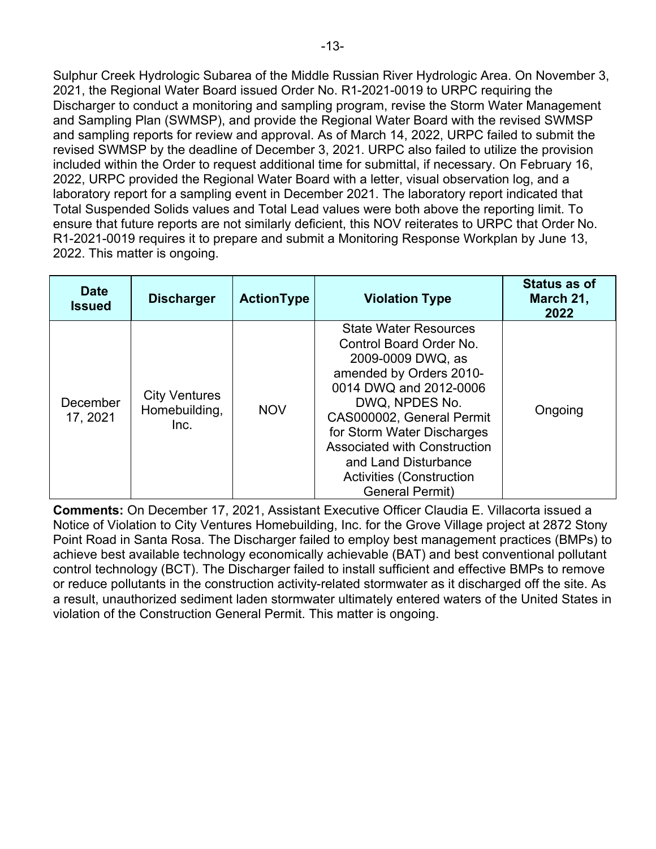Sulphur Creek Hydrologic Subarea of the Middle Russian River Hydrologic Area. On November 3, 2021, the Regional Water Board issued Order No. R1-2021-0019 to URPC requiring the Discharger to conduct a monitoring and sampling program, revise the Storm Water Management and Sampling Plan (SWMSP), and provide the Regional Water Board with the revised SWMSP and sampling reports for review and approval. As of March 14, 2022, URPC failed to submit the revised SWMSP by the deadline of December 3, 2021. URPC also failed to utilize the provision included within the Order to request additional time for submittal, if necessary. On February 16, 2022, URPC provided the Regional Water Board with a letter, visual observation log, and a laboratory report for a sampling event in December 2021. The laboratory report indicated that Total Suspended Solids values and Total Lead values were both above the reporting limit. To ensure that future reports are not similarly deficient, this NOV reiterates to URPC that Order No. R1-2021-0019 requires it to prepare and submit a Monitoring Response Workplan by June 13, 2022. This matter is ongoing.

| <b>Date</b><br><b>Issued</b> | <b>Discharger</b>                             | <b>ActionType</b> | <b>Violation Type</b>                                                                                                                                                                                                                                                                                                                      | <b>Status as of</b><br>March 21,<br>2022 |
|------------------------------|-----------------------------------------------|-------------------|--------------------------------------------------------------------------------------------------------------------------------------------------------------------------------------------------------------------------------------------------------------------------------------------------------------------------------------------|------------------------------------------|
| December<br>17, 2021         | <b>City Ventures</b><br>Homebuilding,<br>Inc. | <b>NOV</b>        | <b>State Water Resources</b><br>Control Board Order No.<br>2009-0009 DWQ, as<br>amended by Orders 2010-<br>0014 DWQ and 2012-0006<br>DWQ, NPDES No.<br>CAS000002, General Permit<br>for Storm Water Discharges<br><b>Associated with Construction</b><br>and Land Disturbance<br><b>Activities (Construction</b><br><b>General Permit)</b> | Ongoing                                  |

**Comments:** On December 17, 2021, Assistant Executive Officer Claudia E. Villacorta issued a Notice of Violation to City Ventures Homebuilding, Inc. for the Grove Village project at 2872 Stony Point Road in Santa Rosa. The Discharger failed to employ best management practices (BMPs) to achieve best available technology economically achievable (BAT) and best conventional pollutant control technology (BCT). The Discharger failed to install sufficient and effective BMPs to remove or reduce pollutants in the construction activity-related stormwater as it discharged off the site. As a result, unauthorized sediment laden stormwater ultimately entered waters of the United States in violation of the Construction General Permit. This matter is ongoing.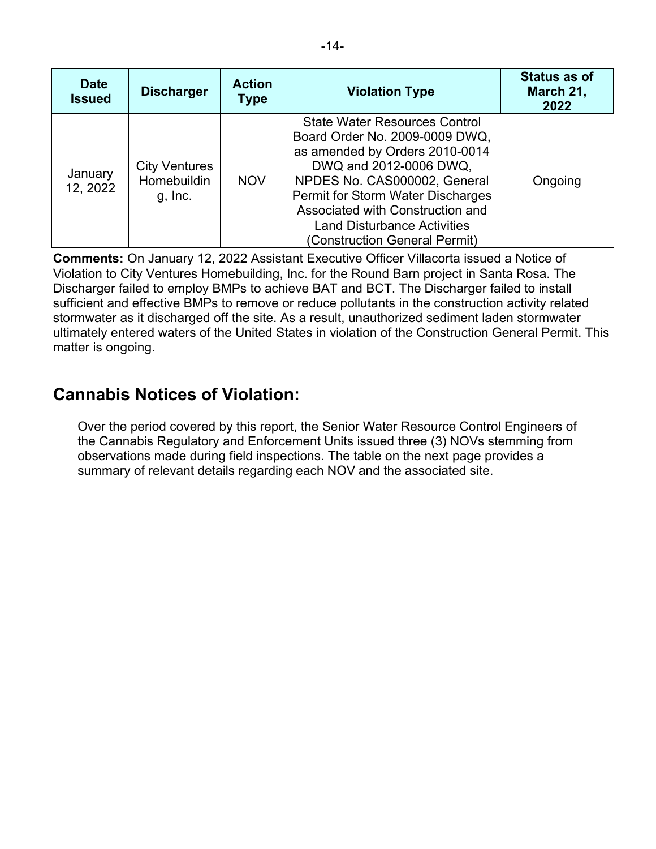| <b>Date</b><br><b>Issued</b> | <b>Discharger</b>                              | <b>Action</b><br>Type | <b>Violation Type</b>                                                                                                                                                                                                                                                                                              | <b>Status as of</b><br>March 21,<br>2022 |
|------------------------------|------------------------------------------------|-----------------------|--------------------------------------------------------------------------------------------------------------------------------------------------------------------------------------------------------------------------------------------------------------------------------------------------------------------|------------------------------------------|
| January<br>12, 2022          | <b>City Ventures</b><br>Homebuildin<br>g, Inc. | <b>NOV</b>            | <b>State Water Resources Control</b><br>Board Order No. 2009-0009 DWQ,<br>as amended by Orders 2010-0014<br>DWQ and 2012-0006 DWQ,<br>NPDES No. CAS000002, General<br>Permit for Storm Water Discharges<br>Associated with Construction and<br><b>Land Disturbance Activities</b><br>(Construction General Permit) | Ongoing                                  |

**Comments:** On January 12, 2022 Assistant Executive Officer Villacorta issued a Notice of Violation to City Ventures Homebuilding, Inc. for the Round Barn project in Santa Rosa. The Discharger failed to employ BMPs to achieve BAT and BCT. The Discharger failed to install sufficient and effective BMPs to remove or reduce pollutants in the construction activity related stormwater as it discharged off the site. As a result, unauthorized sediment laden stormwater ultimately entered waters of the United States in violation of the Construction General Permit. This matter is ongoing.

# **Cannabis Notices of Violation:**

Over the period covered by this report, the Senior Water Resource Control Engineers of the Cannabis Regulatory and Enforcement Units issued three (3) NOVs stemming from observations made during field inspections. The table on the next page provides a summary of relevant details regarding each NOV and the associated site.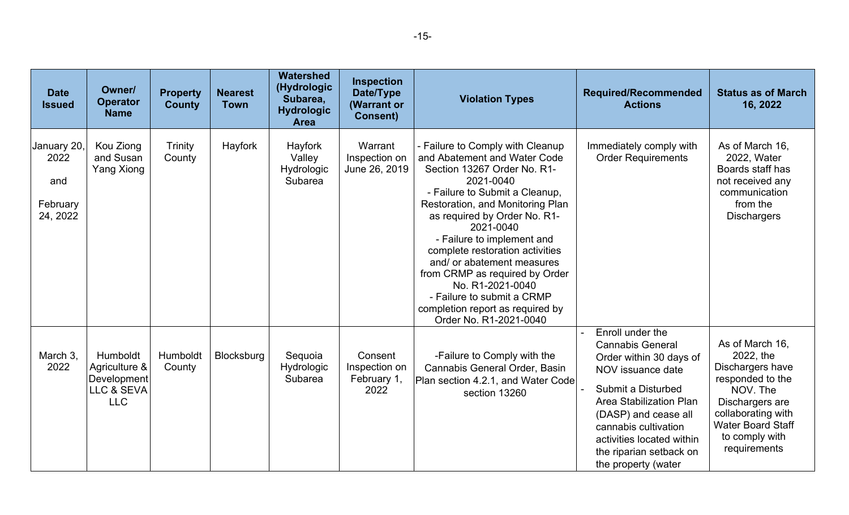| <b>Date</b><br><b>Issued</b>                       | Owner/<br><b>Operator</b><br><b>Name</b>                             | <b>Property</b><br><b>County</b> | <b>Nearest</b><br><b>Town</b> | <b>Watershed</b><br>(Hydrologic<br>Subarea,<br><b>Hydrologic</b><br><b>Area</b> | <b>Inspection</b><br>Date/Type<br>(Warrant or<br><b>Consent)</b> | <b>Violation Types</b>                                                                                                                                                                                                                                                                                                                                                                                                                                                          | <b>Required/Recommended</b><br><b>Actions</b>                                                                                                                                                                                                                                      | <b>Status as of March</b><br>16, 2022                                                                                                                                                   |
|----------------------------------------------------|----------------------------------------------------------------------|----------------------------------|-------------------------------|---------------------------------------------------------------------------------|------------------------------------------------------------------|---------------------------------------------------------------------------------------------------------------------------------------------------------------------------------------------------------------------------------------------------------------------------------------------------------------------------------------------------------------------------------------------------------------------------------------------------------------------------------|------------------------------------------------------------------------------------------------------------------------------------------------------------------------------------------------------------------------------------------------------------------------------------|-----------------------------------------------------------------------------------------------------------------------------------------------------------------------------------------|
| January 20,<br>2022<br>and<br>February<br>24, 2022 | Kou Ziong<br>and Susan<br><b>Yang Xiong</b>                          | Trinity<br>County                | Hayfork                       | Hayfork<br>Valley<br>Hydrologic<br>Subarea                                      | Warrant<br>Inspection on<br>June 26, 2019                        | - Failure to Comply with Cleanup<br>and Abatement and Water Code<br>Section 13267 Order No. R1-<br>2021-0040<br>- Failure to Submit a Cleanup,<br>Restoration, and Monitoring Plan<br>as required by Order No. R1-<br>2021-0040<br>- Failure to implement and<br>complete restoration activities<br>and/or abatement measures<br>from CRMP as required by Order<br>No. R1-2021-0040<br>- Failure to submit a CRMP<br>completion report as required by<br>Order No. R1-2021-0040 | Immediately comply with<br><b>Order Requirements</b>                                                                                                                                                                                                                               | As of March 16,<br>2022, Water<br>Boards staff has<br>not received any<br>communication<br>from the<br><b>Dischargers</b>                                                               |
| March 3.<br>2022                                   | Humboldt<br>Agriculture &<br>Development<br>LLC & SEVA<br><b>LLC</b> | Humboldt<br>County               | Blocksburg                    | Sequoia<br>Hydrologic<br>Subarea                                                | Consent<br>Inspection on<br>February 1,<br>2022                  | -Failure to Comply with the<br>Cannabis General Order, Basin<br>Plan section 4.2.1, and Water Code<br>section 13260                                                                                                                                                                                                                                                                                                                                                             | Enroll under the<br><b>Cannabis General</b><br>Order within 30 days of<br>NOV issuance date<br>Submit a Disturbed<br><b>Area Stabilization Plan</b><br>(DASP) and cease all<br>cannabis cultivation<br>activities located within<br>the riparian setback on<br>the property (water | As of March 16,<br>2022, the<br>Dischargers have<br>responded to the<br>NOV. The<br>Dischargers are<br>collaborating with<br><b>Water Board Staff</b><br>to comply with<br>requirements |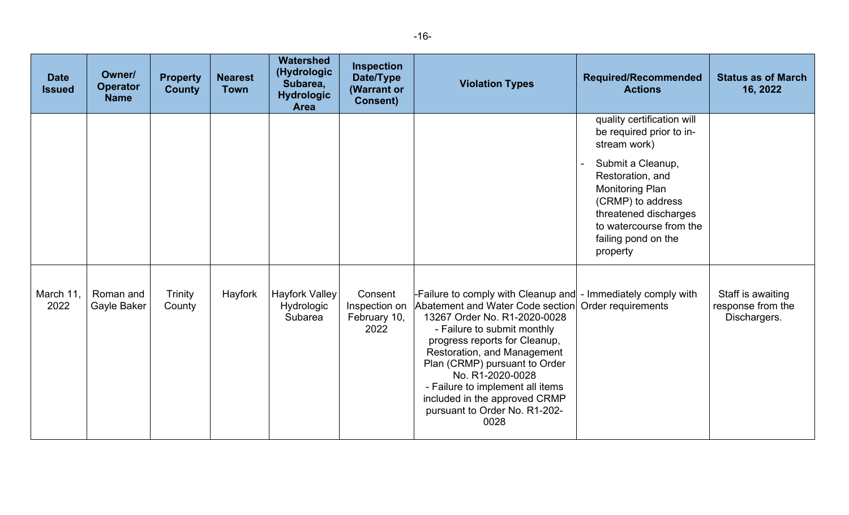| <b>Date</b><br><b>Issued</b> | Owner/<br><b>Operator</b><br><b>Name</b> | <b>Property</b><br><b>County</b> | <b>Nearest</b><br><b>Town</b> | Watershed<br>(Hydrologic<br>Subarea,<br><b>Hydrologic</b><br><b>Area</b> | <b>Inspection</b><br>Date/Type<br>(Warrant or<br><b>Consent)</b> | <b>Violation Types</b>                                                                                                                                                                                                                                                                                                                                                                              | <b>Required/Recommended</b><br><b>Actions</b>                                                                                                                                                                                                         | <b>Status as of March</b><br>16, 2022                  |
|------------------------------|------------------------------------------|----------------------------------|-------------------------------|--------------------------------------------------------------------------|------------------------------------------------------------------|-----------------------------------------------------------------------------------------------------------------------------------------------------------------------------------------------------------------------------------------------------------------------------------------------------------------------------------------------------------------------------------------------------|-------------------------------------------------------------------------------------------------------------------------------------------------------------------------------------------------------------------------------------------------------|--------------------------------------------------------|
|                              |                                          |                                  |                               |                                                                          |                                                                  |                                                                                                                                                                                                                                                                                                                                                                                                     | quality certification will<br>be required prior to in-<br>stream work)<br>Submit a Cleanup,<br>Restoration, and<br><b>Monitoring Plan</b><br>(CRMP) to address<br>threatened discharges<br>to watercourse from the<br>failing pond on the<br>property |                                                        |
| March 11,<br>2022            | Roman and<br>Gayle Baker                 | Trinity<br>County                | Hayfork                       | Hayfork Valley<br>Hydrologic<br>Subarea                                  | Consent<br>Inspection on<br>February 10,<br>2022                 | -Failure to comply with Cleanup and - Immediately comply with<br>Abatement and Water Code section<br>13267 Order No. R1-2020-0028<br>- Failure to submit monthly<br>progress reports for Cleanup,<br>Restoration, and Management<br>Plan (CRMP) pursuant to Order<br>No. R1-2020-0028<br>- Failure to implement all items<br>included in the approved CRMP<br>pursuant to Order No. R1-202-<br>0028 | Order requirements                                                                                                                                                                                                                                    | Staff is awaiting<br>response from the<br>Dischargers. |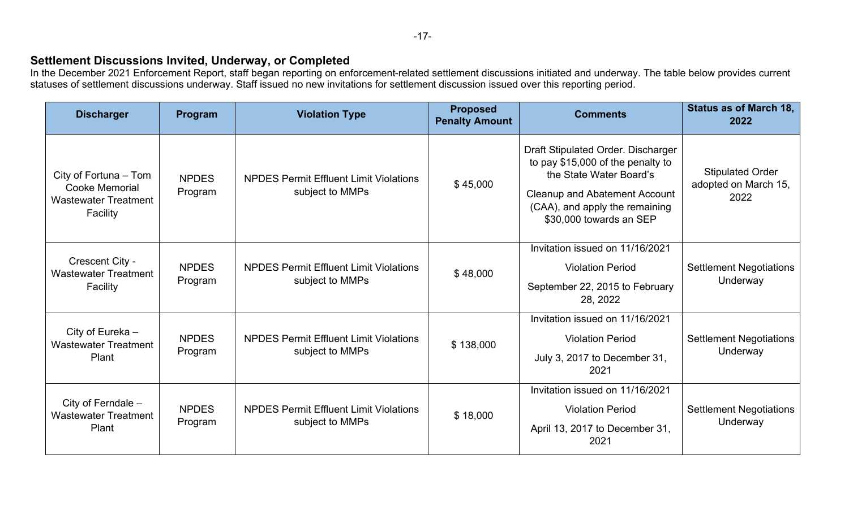# **Settlement Discussions Invited, Underway, or Completed**

In the December 2021 Enforcement Report, staff began reporting on enforcement-related settlement discussions initiated and underway. The table below provides current statuses of settlement discussions underway. Staff issued no new invitations for settlement discussion issued over this reporting period.

| <b>Discharger</b>                                                                         | Program                 | <b>Violation Type</b>                                            | <b>Proposed</b><br><b>Penalty Amount</b> | <b>Comments</b>                                                                                                                                                                                         | <b>Status as of March 18,</b><br>2022                   |
|-------------------------------------------------------------------------------------------|-------------------------|------------------------------------------------------------------|------------------------------------------|---------------------------------------------------------------------------------------------------------------------------------------------------------------------------------------------------------|---------------------------------------------------------|
| City of Fortuna - Tom<br><b>Cooke Memorial</b><br><b>Wastewater Treatment</b><br>Facility | <b>NPDES</b><br>Program | <b>NPDES Permit Effluent Limit Violations</b><br>subject to MMPs | \$45,000                                 | Draft Stipulated Order. Discharger<br>to pay \$15,000 of the penalty to<br>the State Water Board's<br><b>Cleanup and Abatement Account</b><br>(CAA), and apply the remaining<br>\$30,000 towards an SEP | <b>Stipulated Order</b><br>adopted on March 15,<br>2022 |
| Crescent City -<br><b>Wastewater Treatment</b><br>Facility                                | <b>NPDES</b><br>Program | <b>NPDES Permit Effluent Limit Violations</b><br>subject to MMPs | \$48,000                                 | Invitation issued on 11/16/2021<br><b>Violation Period</b><br>September 22, 2015 to February<br>28, 2022                                                                                                | <b>Settlement Negotiations</b><br>Underway              |
| City of Eureka -<br><b>Wastewater Treatment</b><br>Plant                                  | <b>NPDES</b><br>Program | <b>NPDES Permit Effluent Limit Violations</b><br>subject to MMPs | \$138,000                                | Invitation issued on 11/16/2021<br><b>Violation Period</b><br>July 3, 2017 to December 31,<br>2021                                                                                                      | <b>Settlement Negotiations</b><br>Underway              |
| City of Ferndale -<br><b>Wastewater Treatment</b><br>Plant                                | <b>NPDES</b><br>Program | <b>NPDES Permit Effluent Limit Violations</b><br>subject to MMPs | \$18,000                                 | Invitation issued on 11/16/2021<br><b>Violation Period</b><br>April 13, 2017 to December 31,<br>2021                                                                                                    | <b>Settlement Negotiations</b><br>Underway              |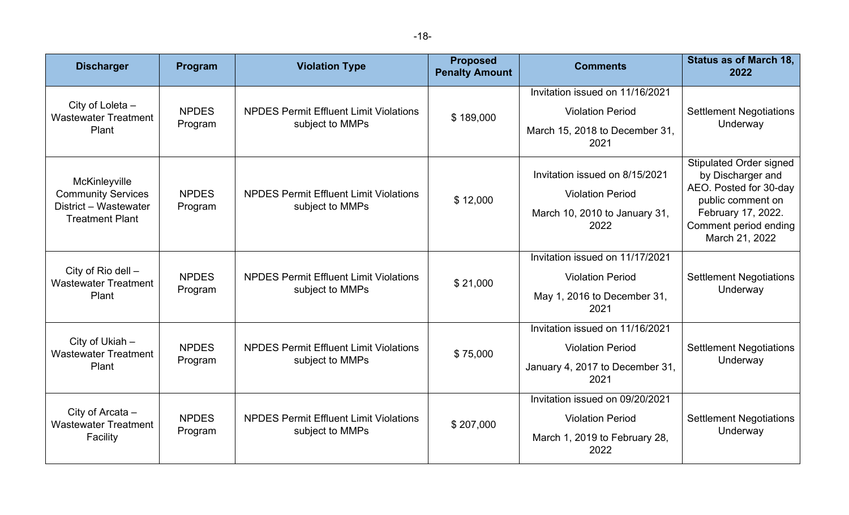| <b>Discharger</b>                                                                             | Program                 | <b>Violation Type</b>                                            | <b>Proposed</b><br><b>Penalty Amount</b> | <b>Comments</b>                                                                                       | <b>Status as of March 18,</b><br>2022                                                                                                                               |
|-----------------------------------------------------------------------------------------------|-------------------------|------------------------------------------------------------------|------------------------------------------|-------------------------------------------------------------------------------------------------------|---------------------------------------------------------------------------------------------------------------------------------------------------------------------|
| City of Loleta -<br><b>Wastewater Treatment</b><br>Plant                                      | <b>NPDES</b><br>Program | <b>NPDES Permit Effluent Limit Violations</b><br>subject to MMPs | \$189,000                                | Invitation issued on 11/16/2021<br><b>Violation Period</b><br>March 15, 2018 to December 31,<br>2021  | <b>Settlement Negotiations</b><br>Underway                                                                                                                          |
| McKinleyville<br><b>Community Services</b><br>District - Wastewater<br><b>Treatment Plant</b> | <b>NPDES</b><br>Program | <b>NPDES Permit Effluent Limit Violations</b><br>subject to MMPs | \$12,000                                 | Invitation issued on 8/15/2021<br><b>Violation Period</b><br>March 10, 2010 to January 31,<br>2022    | <b>Stipulated Order signed</b><br>by Discharger and<br>AEO. Posted for 30-day<br>public comment on<br>February 17, 2022.<br>Comment period ending<br>March 21, 2022 |
| City of Rio dell -<br><b>Wastewater Treatment</b><br>Plant                                    | <b>NPDES</b><br>Program | <b>NPDES Permit Effluent Limit Violations</b><br>subject to MMPs | \$21,000                                 | Invitation issued on 11/17/2021<br><b>Violation Period</b><br>May 1, 2016 to December 31,<br>2021     | <b>Settlement Negotiations</b><br>Underway                                                                                                                          |
| City of Ukiah -<br><b>Wastewater Treatment</b><br>Plant                                       | <b>NPDES</b><br>Program | <b>NPDES Permit Effluent Limit Violations</b><br>subject to MMPs | \$75,000                                 | Invitation issued on 11/16/2021<br><b>Violation Period</b><br>January 4, 2017 to December 31,<br>2021 | <b>Settlement Negotiations</b><br>Underway                                                                                                                          |
| City of Arcata -<br><b>Wastewater Treatment</b><br>Facility                                   | <b>NPDES</b><br>Program | <b>NPDES Permit Effluent Limit Violations</b><br>subject to MMPs | \$207,000                                | Invitation issued on 09/20/2021<br><b>Violation Period</b><br>March 1, 2019 to February 28,<br>2022   | <b>Settlement Negotiations</b><br>Underway                                                                                                                          |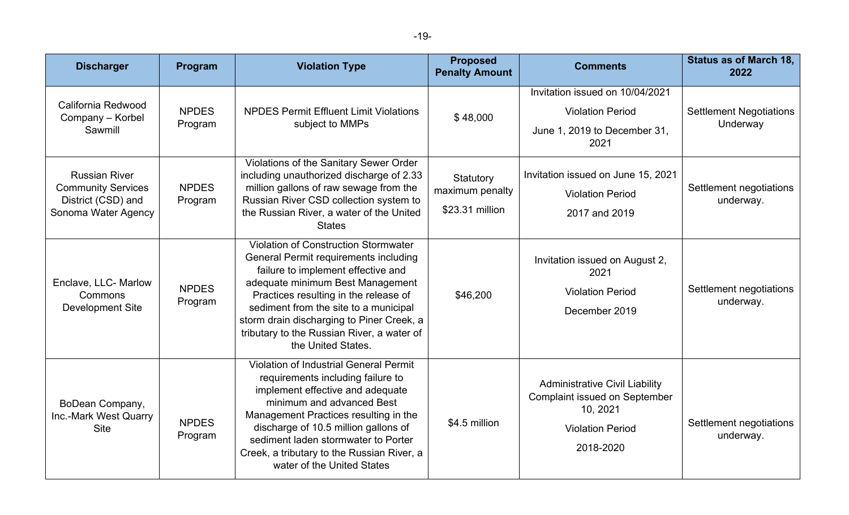| v<br>× | ۰.<br>v |
|--------|---------|
|--------|---------|

| <b>Discharger</b>                                                                              | Program                 | <b>Violation Type</b>                                                                                                                                                                                                                                                                                                                                                    | <b>Proposed</b><br><b>Penalty Amount</b>        | <b>Comments</b>                                                                                                                   | <b>Status as of March 18,</b><br>2022      |
|------------------------------------------------------------------------------------------------|-------------------------|--------------------------------------------------------------------------------------------------------------------------------------------------------------------------------------------------------------------------------------------------------------------------------------------------------------------------------------------------------------------------|-------------------------------------------------|-----------------------------------------------------------------------------------------------------------------------------------|--------------------------------------------|
| California Redwood<br>Company - Korbel<br>Sawmill                                              | <b>NPDES</b><br>Program | <b>NPDES Permit Effluent Limit Violations</b><br>subject to MMPs                                                                                                                                                                                                                                                                                                         | \$48,000                                        | Invitation issued on 10/04/2021<br><b>Violation Period</b><br>June 1, 2019 to December 31,<br>2021                                | <b>Settlement Negotiations</b><br>Underway |
| <b>Russian River</b><br><b>Community Services</b><br>District (CSD) and<br>Sonoma Water Agency | <b>NPDES</b><br>Program | Violations of the Sanitary Sewer Order<br>including unauthorized discharge of 2.33<br>million gallons of raw sewage from the<br>Russian River CSD collection system to<br>the Russian River, a water of the United<br><b>States</b>                                                                                                                                      | Statutory<br>maximum penalty<br>\$23.31 million | Invitation issued on June 15, 2021<br><b>Violation Period</b><br>2017 and 2019                                                    | Settlement negotiations<br>underway.       |
| Enclave, LLC- Marlow<br>Commons<br><b>Development Site</b>                                     | <b>NPDES</b><br>Program | <b>Violation of Construction Stormwater</b><br><b>General Permit requirements including</b><br>failure to implement effective and<br>adequate minimum Best Management<br>Practices resulting in the release of<br>sediment from the site to a municipal<br>storm drain discharging to Piner Creek, a<br>tributary to the Russian River, a water of<br>the United States. | \$46,200                                        | Invitation issued on August 2,<br>2021<br><b>Violation Period</b><br>December 2019                                                | Settlement negotiations<br>underway.       |
| BoDean Company,<br>Inc.-Mark West Quarry<br><b>Site</b>                                        | <b>NPDES</b><br>Program | <b>Violation of Industrial General Permit</b><br>requirements including failure to<br>implement effective and adequate<br>minimum and advanced Best<br>Management Practices resulting in the<br>discharge of 10.5 million gallons of<br>sediment laden stormwater to Porter<br>Creek, a tributary to the Russian River, a<br>water of the United States                  | \$4.5 million                                   | <b>Administrative Civil Liability</b><br><b>Complaint issued on September</b><br>10, 2021<br><b>Violation Period</b><br>2018-2020 | Settlement negotiations<br>underway.       |